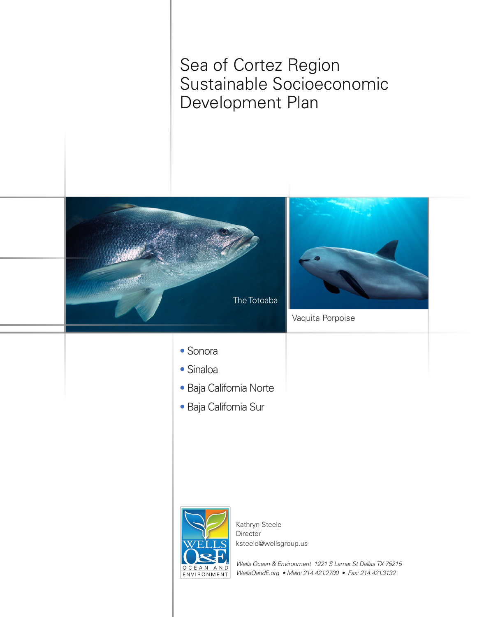Sea of Cortez Region Sustainable Socioeconomic Development Plan

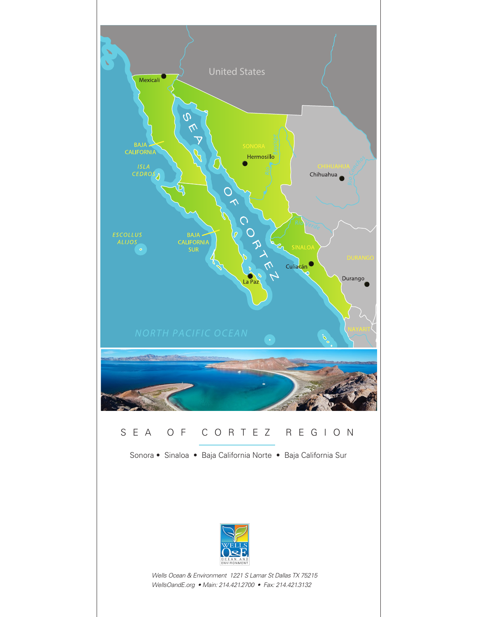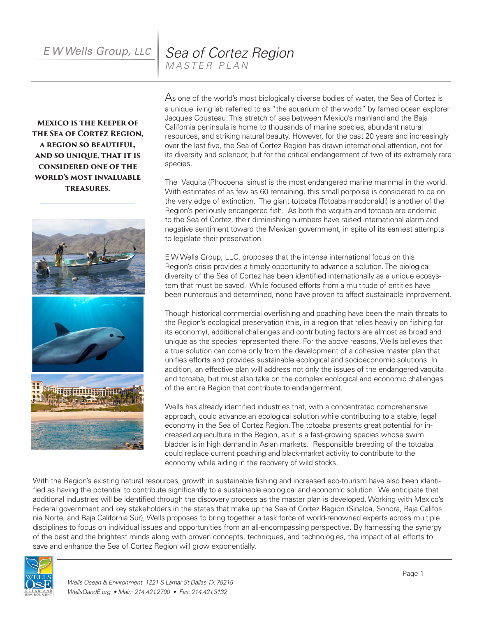*E W Wells Group, LLC Sea of Cortez Region MASTER PLAN*

**Mexico is the Keeper of the Sea of Cortez Region, a region so beautiful, and so unique, that it is considered one of the world's most invaluable treasures.**



As one of the world's most biologically diverse bodies of water, the Sea of Cortez is a unique living lab referred to as "the aquarium of the world" by famed ocean explorer Jacques Cousteau.This stretch of sea between Mexico's mainland and the Baja California peninsula is home to thousands of marine species, abundant natural resources, and striking natural beauty. However, for the past 20 years and increasingly over the last five, the Sea of Cortez Region has drawn international attention, not for its diversity and splendor, but for the critical endangerment of two of its extremely rare species.

The Vaquita (Phocoena sinus) is the most endangered marine mammal in the world. With estimates of as few as 60 remaining, this small porpoise is considered to be on the very edge of extinction. The giant totoaba (Totoaba macdonaldi) is another of the Region's perilously endangered fish. As both the vaquita and totoaba are endemic to the Sea of Cortez, their diminishing numbers have raised international alarm and negative sentiment toward the Mexican government, in spite of its earnest attempts to legislate their preservation.

E W Wells Group, LLC, proposes that the intense international focus on this Region's crisis provides a timely opportunity to advance a solution.The biological diversity of the Sea of Cortez has been identified internationally as a unique ecosystem that must be saved. While focused efforts from a multitude of entities have been numerous and determined, none have proven to affect sustainable improvement.

Though historical commercial overfishing and poaching have been the main threats to the Region's ecological preservation (this, in a region that relies heavily on fishing for its economy), additional challenges and contributing factors are almost as broad and unique as the species represented there. For the above reasons, Wells believes that a true solution can come only from the development of a cohesive master plan that unifies efforts and provides sustainable ecological and socioeconomic solutions. In addition, an effective plan will address not only the issues of the endangered vaquita and totoaba, but must also take on the complex ecological and economic challenges of the entire Region that contribute to endangerment.

Wells has already identified industries that, with a concentrated comprehensive approach, could advance an ecological solution while contributing to a stable, legal economy in the Sea of Cortez Region. The totoaba presents great potential for increased aquaculture in the Region, as it is a fast-growing species whose swim bladder is in high demand in Asian markets. Responsible breeding of the totoaba could replace current poaching and black-market activity to contribute to the economy while aiding in the recovery of wild stocks.

With the Region's existing natural resources, growth in sustainable fishing and increased eco-tourism have also been identified as having the potential to contribute significantly to a sustainable ecological and economic solution. We anticipate that additional industries will be identified through the discovery process as the master plan is developed. Working with Mexico's Federal government and key stakeholders in the states that make up the Sea of Cortez Region (Sinaloa, Sonora, Baja California Norte, and Baja California Sur), Wells proposes to bring together a task force of world-renowned experts across multiple disciplines to focus on individual issues and opportunities from an all-encompassing perspective. By harnessing the synergy of the best and the brightest minds along with proven concepts, techniques, and technologies, the impact of all efforts to save and enhance the Sea of Cortez Region will grow exponentially.

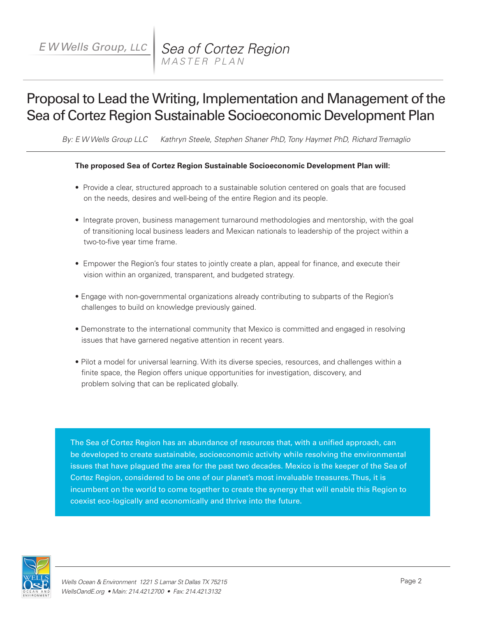# Proposal to Lead the Writing, Implementation and Management of the Sea of Cortez Region Sustainable Socioeconomic Development Plan

*By: E W Wells Group LLC Kathryn Steele, Stephen Shaner PhD, Tony Haymet PhD, Richard Tremaglio*

#### **The proposed Sea of Cortez Region Sustainable Socioeconomic Development Plan will:**

- Provide a clear, structured approach to a sustainable solution centered on goals that are focused on the needs, desires and well-being of the entire Region and its people.
- Integrate proven, business management turnaround methodologies and mentorship, with the goal of transitioning local business leaders and Mexican nationals to leadership of the project within a two-to-five year time frame.
- Empower the Region's four states to jointly create a plan, appeal for finance, and execute their vision within an organized, transparent, and budgeted strategy.
- Engage with non-governmental organizations already contributing to subparts of the Region's challenges to build on knowledge previously gained.
- Demonstrate to the international community that Mexico is committed and engaged in resolving issues that have garnered negative attention in recent years.
- Pilot a model for universal learning. With its diverse species, resources, and challenges within a finite space, the Region offers unique opportunities for investigation, discovery, and problem solving that can be replicated globally.

The Sea of Cortez Region has an abundance of resources that, with a unified approach, can be developed to create sustainable, socioeconomic activity while resolving the environmental issues that have plagued the area for the past two decades. Mexico is the keeper of the Sea of Cortez Region, considered to be one of our planet's most invaluable treasures. Thus, it is incumbent on the world to come together to create the synergy that will enable this Region to coexist eco-logically and economically and thrive into the future.

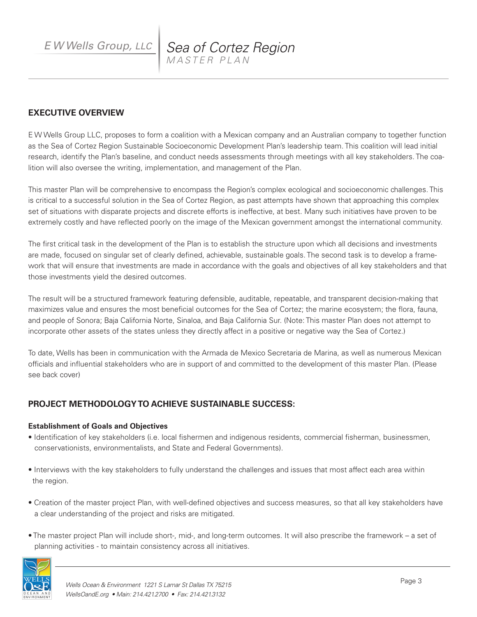*E W Wells Group, LLC Sea of Cortez Region MASTER PLAN*

### **EXECUTIVE OVERVIEW**

E W Wells Group LLC, proposes to form a coalition with a Mexican company and an Australian company to together function as the Sea of Cortez Region Sustainable Socioeconomic Development Plan's leadership team. This coalition will lead initial research, identify the Plan's baseline, and conduct needs assessments through meetings with all key stakeholders. The coalition will also oversee the writing, implementation, and management of the Plan.

This master Plan will be comprehensive to encompass the Region's complex ecological and socioeconomic challenges. This is critical to a successful solution in the Sea of Cortez Region, as past attempts have shown that approaching this complex set of situations with disparate projects and discrete efforts is ineffective, at best. Many such initiatives have proven to be extremely costly and have reflected poorly on the image of the Mexican government amongst the international community.

The first critical task in the development of the Plan is to establish the structure upon which all decisions and investments are made, focused on singular set of clearly defined, achievable, sustainable goals. The second task is to develop a framework that will ensure that investments are made in accordance with the goals and objectives of all key stakeholders and that those investments yield the desired outcomes.

The result will be a structured framework featuring defensible, auditable, repeatable, and transparent decision-making that maximizes value and ensures the most beneficial outcomes for the Sea of Cortez; the marine ecosystem; the flora, fauna, and people of Sonora; Baja California Norte, Sinaloa, and Baja California Sur. (Note: This master Plan does not attempt to incorporate other assets of the states unless they directly affect in a positive or negative way the Sea of Cortez.)

To date, Wells has been in communication with the Armada de Mexico Secretaria de Marina, as well as numerous Mexican officials and influential stakeholders who are in support of and committed to the development of this master Plan. (Please see back cover)

## **PROJECT METHODOLOGY TO ACHIEVE SUSTAINABLE SUCCESS:**

#### **Establishment of Goals and Objectives**

- Identification of key stakeholders (i.e. local fishermen and indigenous residents, commercial fisherman, businessmen, conservationists, environmentalists, and State and Federal Governments).
- Interviews with the key stakeholders to fully understand the challenges and issues that most affect each area within the region.
- Creation of the master project Plan, with well-defined objectives and success measures, so that all key stakeholders have a clear understanding of the project and risks are mitigated.
- The master project Plan will include short-, mid-, and long-term outcomes. It will also prescribe the framework a set of planning activities - to maintain consistency across all initiatives.

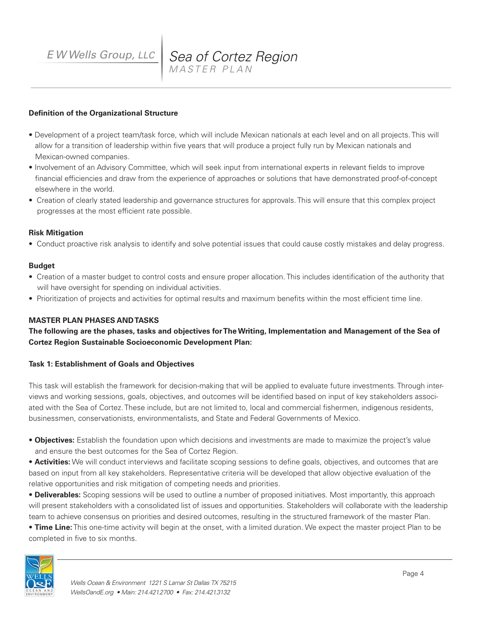## *E W Wells Group, LLC Sea of Cortez Region MASTER PLAN*

#### **Definition of the Organizational Structure**

- Development of a project team/task force, which will include Mexican nationals at each level and on all projects. This will allow for a transition of leadership within five years that will produce a project fully run by Mexican nationals and Mexican-owned companies.
- Involvement of an Advisory Committee, which will seek input from international experts in relevant fields to improve financial efficiencies and draw from the experience of approaches or solutions that have demonstrated proof-of-concept elsewhere in the world.
- Creation of clearly stated leadership and governance structures for approvals. This will ensure that this complex project progresses at the most efficient rate possible.

#### **Risk Mitigation**

• Conduct proactive risk analysis to identify and solve potential issues that could cause costly mistakes and delay progress.

#### **Budget**

- Creation of a master budget to control costs and ensure proper allocation. This includes identification of the authority that will have oversight for spending on individual activities.
- Prioritization of projects and activities for optimal results and maximum benefits within the most efficient time line.

#### **MASTER PLAN PHASES AND TASKS**

**The following are the phases, tasks and objectives for The Writing, Implementation and Management of the Sea of Cortez Region Sustainable Socioeconomic Development Plan:**

#### **Task 1: Establishment of Goals and Objectives**

This task will establish the framework for decision-making that will be applied to evaluate future investments. Through interviews and working sessions, goals, objectives, and outcomes will be identified based on input of key stakeholders associated with the Sea of Cortez. These include, but are not limited to, local and commercial fishermen, indigenous residents, businessmen, conservationists, environmentalists, and State and Federal Governments of Mexico.

- **Objectives:** Establish the foundation upon which decisions and investments are made to maximize the project's value and ensure the best outcomes for the Sea of Cortez Region.
- **Activities:** We will conduct interviews and facilitate scoping sessions to define goals, objectives, and outcomes that are based on input from all key stakeholders. Representative criteria will be developed that allow objective evaluation of the relative opportunities and risk mitigation of competing needs and priorities.
- **Deliverables:** Scoping sessions will be used to outline a number of proposed initiatives. Most importantly, this approach will present stakeholders with a consolidated list of issues and opportunities. Stakeholders will collaborate with the leadership team to achieve consensus on priorities and desired outcomes, resulting in the structured framework of the master Plan.
- **Time Line:** This one-time activity will begin at the onset, with a limited duration. We expect the master project Plan to be completed in five to six months.

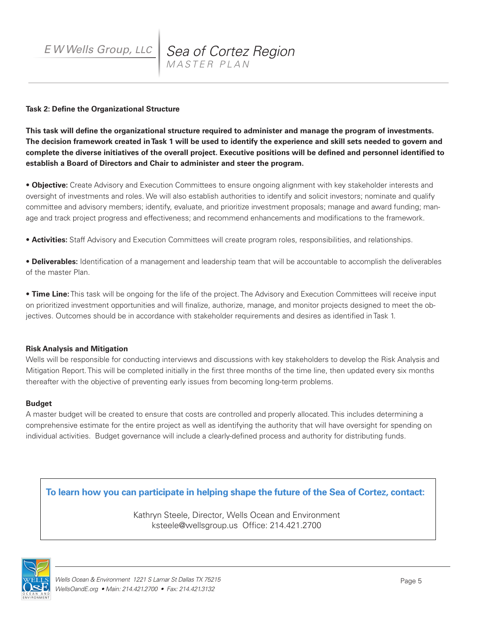#### **Task 2: Define the Organizational Structure**

**This task will define the organizational structure required to administer and manage the program of investments. The decision framework created in Task 1 will be used to identify the experience and skill sets needed to govern and complete the diverse initiatives of the overall project. Executive positions will be defined and personnel identified to establish a Board of Directors and Chair to administer and steer the program.**

• **Objective:** Create Advisory and Execution Committees to ensure ongoing alignment with key stakeholder interests and oversight of investments and roles. We will also establish authorities to identify and solicit investors; nominate and qualify committee and advisory members; identify, evaluate, and prioritize investment proposals; manage and award funding; manage and track project progress and effectiveness; and recommend enhancements and modifications to the framework.

• **Activities:** Staff Advisory and Execution Committees will create program roles, responsibilities, and relationships.

• **Deliverables:** Identification of a management and leadership team that will be accountable to accomplish the deliverables of the master Plan.

• **Time Line:** This task will be ongoing for the life of the project. The Advisory and Execution Committees will receive input on prioritized investment opportunities and will finalize, authorize, manage, and monitor projects designed to meet the objectives. Outcomes should be in accordance with stakeholder requirements and desires as identified in Task 1.

#### **Risk Analysis and Mitigation**

Wells will be responsible for conducting interviews and discussions with key stakeholders to develop the Risk Analysis and Mitigation Report. This will be completed initially in the first three months of the time line, then updated every six months thereafter with the objective of preventing early issues from becoming long-term problems.

#### **Budget**

A master budget will be created to ensure that costs are controlled and properly allocated. This includes determining a comprehensive estimate for the entire project as well as identifying the authority that will have oversight for spending on individual activities. Budget governance will include a clearly-defined process and authority for distributing funds.

**To learn how you can participate in helping shape the future of the Sea of Cortez, contact:**

Kathryn Steele, Director, Wells Ocean and Environment ksteele@wellsgroup.us Office: 214.421.2700